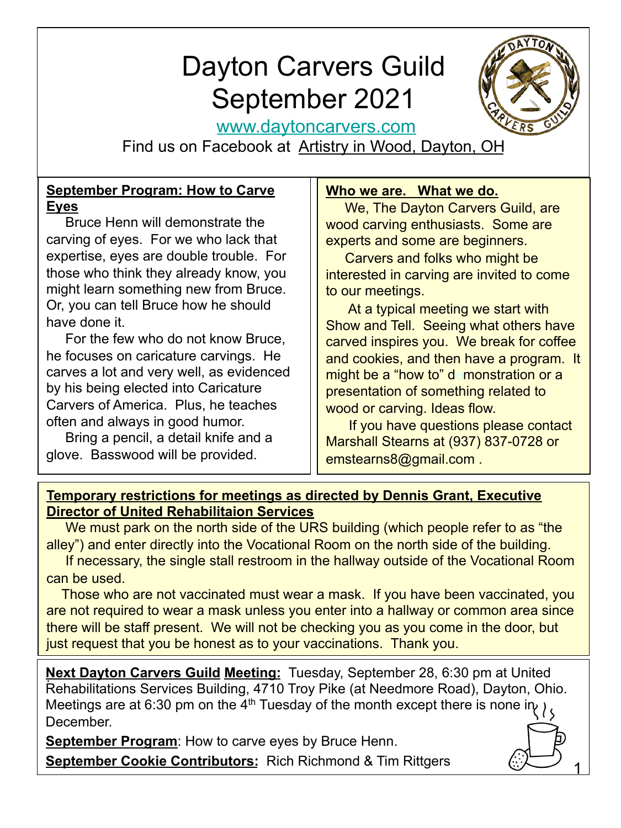# Dayton Carvers Guild September 2021



1

www.daytoncarvers.com

Find us on Facebook at Artistry in Wood, Dayton, OH

## **September Program: How to Carve Eyes**

 Bruce Henn will demonstrate the carving of eyes. For we who lack that expertise, eyes are double trouble. For those who think they already know, you might learn something new from Bruce. Or, you can tell Bruce how he should have done it.

 For the few who do not know Bruce, he focuses on caricature carvings. He carves a lot and very well, as evidenced by his being elected into Caricature Carvers of America. Plus, he teaches often and always in good humor.

 Bring a pencil, a detail knife and a glove. Basswood will be provided.

## **Who we are. What we do.**

 We, The Dayton Carvers Guild, are wood carving enthusiasts. Some are experts and some are beginners.

 Carvers and folks who might be interested in carving are invited to come to our meetings.

 At a typical meeting we start with Show and Tell. Seeing what others have carved inspires you. We break for coffee and cookies, and then have a program. It might be a "how to" demonstration or a presentation of something related to wood or carving. Ideas flow.

 If you have questions please contact Marshall Stearns at (937) 837-0728 or emstearns8@gmail.com .

## **Temporary restrictions for meetings as directed by Dennis Grant, Executive Director of United Rehabilitaion Services**

We must park on the north side of the URS building (which people refer to as "the alley") and enter directly into the Vocational Room on the north side of the building.

 If necessary, the single stall restroom in the hallway outside of the Vocational Room can be used.

 Those who are not vaccinated must wear a mask. If you have been vaccinated, you are not required to wear a mask unless you enter into a hallway or common area since there will be staff present. We will not be checking you as you come in the door, but just request that you be honest as to your vaccinations. Thank you.

**Next Dayton Carvers Guild Meeting:** Tuesday, September 28, 6:30 pm at United Rehabilitations Services Building, 4710 Troy Pike (at Needmore Road), Dayton, Ohio. Meetings are at 6:30 pm on the 4<sup>th</sup> Tuesday of the month except there is none in  $\mu$ December.

**September Program:** How to carve eyes by Bruce Henn.

**September Cookie Contributors:** Rich Richmond & Tim Rittgers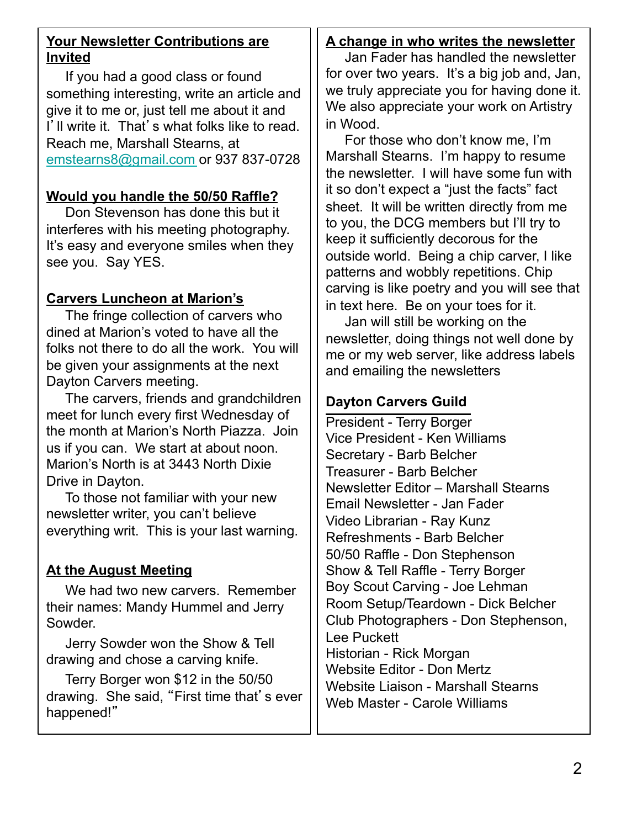## **Your Newsletter Contributions are Invited**

 If you had a good class or found something interesting, write an article and give it to me or, just tell me about it and I'll write it. That's what folks like to read. Reach me, Marshall Stearns, at emstearns8@gmail.com or 937 837-0728

## **Would you handle the 50/50 Raffle?**

 Don Stevenson has done this but it interferes with his meeting photography. It's easy and everyone smiles when they see you. Say YES.

## **Carvers Luncheon at Marion's**

 The fringe collection of carvers who dined at Marion's voted to have all the folks not there to do all the work. You will be given your assignments at the next Dayton Carvers meeting.

 The carvers, friends and grandchildren meet for lunch every first Wednesday of the month at Marion's North Piazza. Join us if you can. We start at about noon. Marion's North is at 3443 North Dixie Drive in Dayton.

 To those not familiar with your new newsletter writer, you can't believe everything writ. This is your last warning.

## **At the August Meeting**

 We had two new carvers. Remember their names: Mandy Hummel and Jerry Sowder.

 Jerry Sowder won the Show & Tell drawing and chose a carving knife.

 Terry Borger won \$12 in the 50/50 drawing. She said, "First time that's ever happened!"

## **A change in who writes the newsletter**

 Jan Fader has handled the newsletter for over two years. It's a big job and, Jan, we truly appreciate you for having done it. We also appreciate your work on Artistry in Wood.

 For those who don't know me, I'm Marshall Stearns. I'm happy to resume the newsletter. I will have some fun with it so don't expect a "just the facts" fact sheet. It will be written directly from me to you, the DCG members but I'll try to keep it sufficiently decorous for the outside world. Being a chip carver, I like patterns and wobbly repetitions. Chip carving is like poetry and you will see that in text here. Be on your toes for it.

 Jan will still be working on the newsletter, doing things not well done by me or my web server, like address labels and emailing the newsletters

## **Dayton Carvers Guild**

President - Terry Borger Vice President - Ken Williams Secretary - Barb Belcher Treasurer - Barb Belcher Newsletter Editor – Marshall Stearns Email Newsletter - Jan Fader Video Librarian - Ray Kunz Refreshments - Barb Belcher 50/50 Raffle - Don Stephenson Show & Tell Raffle - Terry Borger Boy Scout Carving - Joe Lehman Room Setup/Teardown - Dick Belcher Club Photographers - Don Stephenson, Lee Puckett Historian - Rick Morgan Website Editor - Don Mertz Website Liaison - Marshall Stearns Web Master - Carole Williams